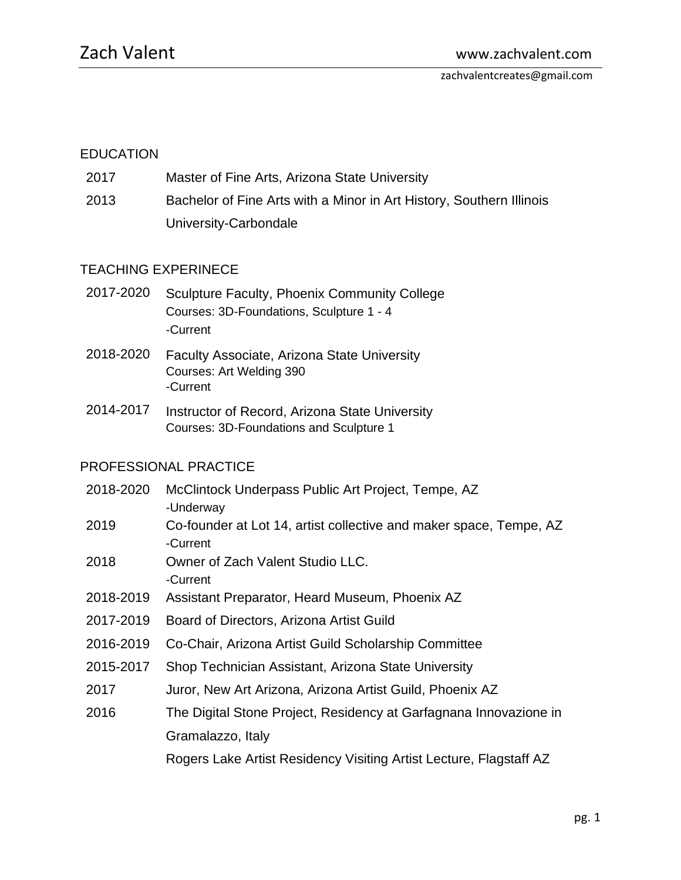## EDUCATION

- 2017 Master of Fine Arts, Arizona State University
- 2013 Bachelor of Fine Arts with a Minor in Art History, Southern Illinois University-Carbondale

## TEACHING EXPERINECE

- 2017-2020 Sculpture Faculty, Phoenix Community College Courses: 3D-Foundations, Sculpture 1 - 4 -Current
- 2018-2020 Faculty Associate, Arizona State University Courses: Art Welding 390 -Current
- 2014-2017 Instructor of Record, Arizona State University Courses: 3D-Foundations and Sculpture 1

## PROFESSIONAL PRACTICE

- 2018-2020 McClintock Underpass Public Art Project, Tempe, AZ -Underway
- 2019 Co-founder at Lot 14, artist collective and maker space, Tempe, AZ -Current
- 2018 Owner of Zach Valent Studio LLC. -Current
- 2018-2019 Assistant Preparator, Heard Museum, Phoenix AZ
- 2017-2019 Board of Directors, Arizona Artist Guild
- 2016-2019 Co-Chair, Arizona Artist Guild Scholarship Committee
- 2015-2017 Shop Technician Assistant, Arizona State University
- 2017 Juror, New Art Arizona, Arizona Artist Guild, Phoenix AZ
- 2016 The Digital Stone Project, Residency at Garfagnana Innovazione in Gramalazzo, Italy

Rogers Lake Artist Residency Visiting Artist Lecture, Flagstaff AZ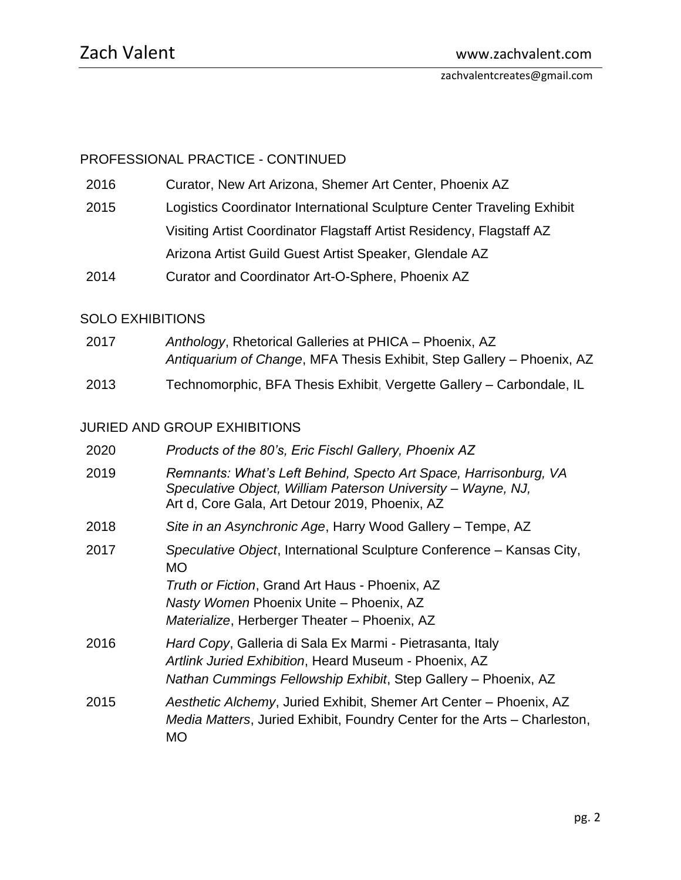## PROFESSIONAL PRACTICE - CONTINUED

2016 Curator, New Art Arizona, Shemer Art Center, Phoenix AZ

2015 Logistics Coordinator International Sculpture Center Traveling Exhibit Visiting Artist Coordinator Flagstaff Artist Residency, Flagstaff AZ

Arizona Artist Guild Guest Artist Speaker, Glendale AZ

2014 Curator and Coordinator Art-O-Sphere, Phoenix AZ

## SOLO EXHIBITIONS

| 2017 | Anthology, Rhetorical Galleries at PHICA – Phoenix, AZ                |
|------|-----------------------------------------------------------------------|
|      | Antiquarium of Change, MFA Thesis Exhibit, Step Gallery - Phoenix, AZ |
| 2013 | Technomorphic, BFA Thesis Exhibit, Vergette Gallery - Carbondale, IL  |

## JURIED AND GROUP EXHIBITIONS

| 2020 | Products of the 80's, Eric Fischl Gallery, Phoenix AZ                                                                                                                              |
|------|------------------------------------------------------------------------------------------------------------------------------------------------------------------------------------|
| 2019 | Remnants: What's Left Behind, Specto Art Space, Harrisonburg, VA<br>Speculative Object, William Paterson University - Wayne, NJ,<br>Art d, Core Gala, Art Detour 2019, Phoenix, AZ |
| 2018 | Site in an Asynchronic Age, Harry Wood Gallery - Tempe, AZ                                                                                                                         |
| 2017 | Speculative Object, International Sculpture Conference – Kansas City,<br>МO                                                                                                        |
|      | Truth or Fiction, Grand Art Haus - Phoenix, AZ                                                                                                                                     |
|      | Nasty Women Phoenix Unite - Phoenix, AZ                                                                                                                                            |
|      | Materialize, Herberger Theater - Phoenix, AZ                                                                                                                                       |
| 2016 | Hard Copy, Galleria di Sala Ex Marmi - Pietrasanta, Italy                                                                                                                          |
|      | Artlink Juried Exhibition, Heard Museum - Phoenix, AZ                                                                                                                              |
|      | Nathan Cummings Fellowship Exhibit, Step Gallery – Phoenix, AZ                                                                                                                     |
| 2015 | Aesthetic Alchemy, Juried Exhibit, Shemer Art Center - Phoenix, AZ<br>Media Matters, Juried Exhibit, Foundry Center for the Arts – Charleston,<br>МO                               |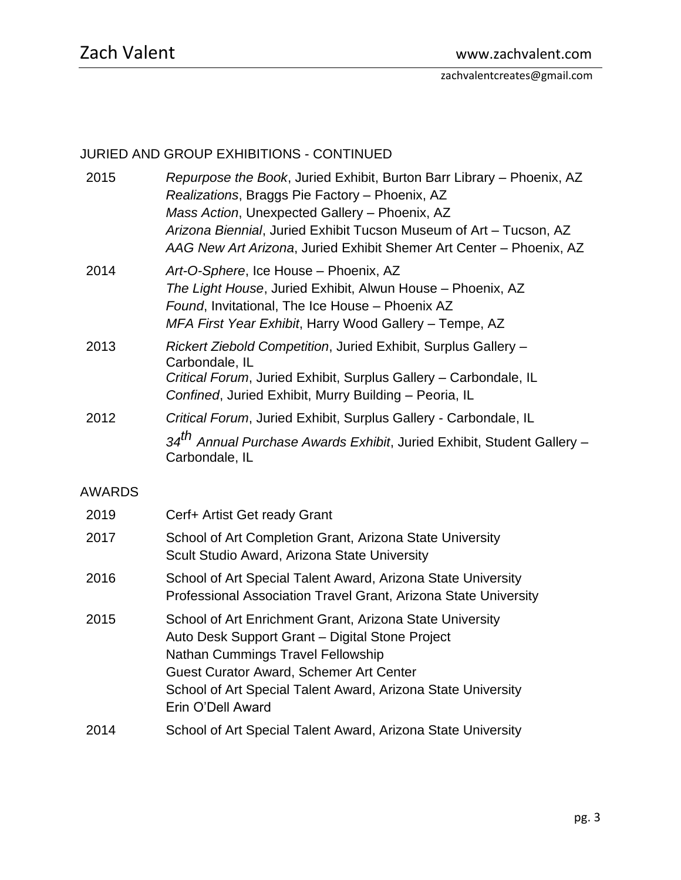# JURIED AND GROUP EXHIBITIONS - CONTINUED

| 2015          | Repurpose the Book, Juried Exhibit, Burton Barr Library - Phoenix, AZ<br>Realizations, Braggs Pie Factory - Phoenix, AZ<br>Mass Action, Unexpected Gallery - Phoenix, AZ<br>Arizona Biennial, Juried Exhibit Tucson Museum of Art - Tucson, AZ<br>AAG New Art Arizona, Juried Exhibit Shemer Art Center - Phoenix, AZ |
|---------------|-----------------------------------------------------------------------------------------------------------------------------------------------------------------------------------------------------------------------------------------------------------------------------------------------------------------------|
| 2014          | Art-O-Sphere, Ice House - Phoenix, AZ<br>The Light House, Juried Exhibit, Alwun House - Phoenix, AZ<br>Found, Invitational, The Ice House - Phoenix AZ<br>MFA First Year Exhibit, Harry Wood Gallery - Tempe, AZ                                                                                                      |
| 2013          | Rickert Ziebold Competition, Juried Exhibit, Surplus Gallery -<br>Carbondale, IL<br>Critical Forum, Juried Exhibit, Surplus Gallery - Carbondale, IL<br>Confined, Juried Exhibit, Murry Building - Peoria, IL                                                                                                         |
| 2012          | Critical Forum, Juried Exhibit, Surplus Gallery - Carbondale, IL                                                                                                                                                                                                                                                      |
|               | 34 <sup>th</sup> Annual Purchase Awards Exhibit, Juried Exhibit, Student Gallery -<br>Carbondale, IL                                                                                                                                                                                                                  |
| <b>AWARDS</b> |                                                                                                                                                                                                                                                                                                                       |
| 2019          | Cerf+ Artist Get ready Grant                                                                                                                                                                                                                                                                                          |
| 2017          | School of Art Completion Grant, Arizona State University<br>Scult Studio Award, Arizona State University                                                                                                                                                                                                              |
| 2016          | School of Art Special Talent Award, Arizona State University<br>Professional Association Travel Grant, Arizona State University                                                                                                                                                                                       |
| 2015          | School of Art Enrichment Grant, Arizona State University<br>Auto Desk Support Grant - Digital Stone Project<br><b>Nathan Cummings Travel Fellowship</b><br>Guest Curator Award, Schemer Art Center<br>School of Art Special Talent Award, Arizona State University<br>Erin O'Dell Award                               |
| 2014          | School of Art Special Talent Award, Arizona State University                                                                                                                                                                                                                                                          |
|               |                                                                                                                                                                                                                                                                                                                       |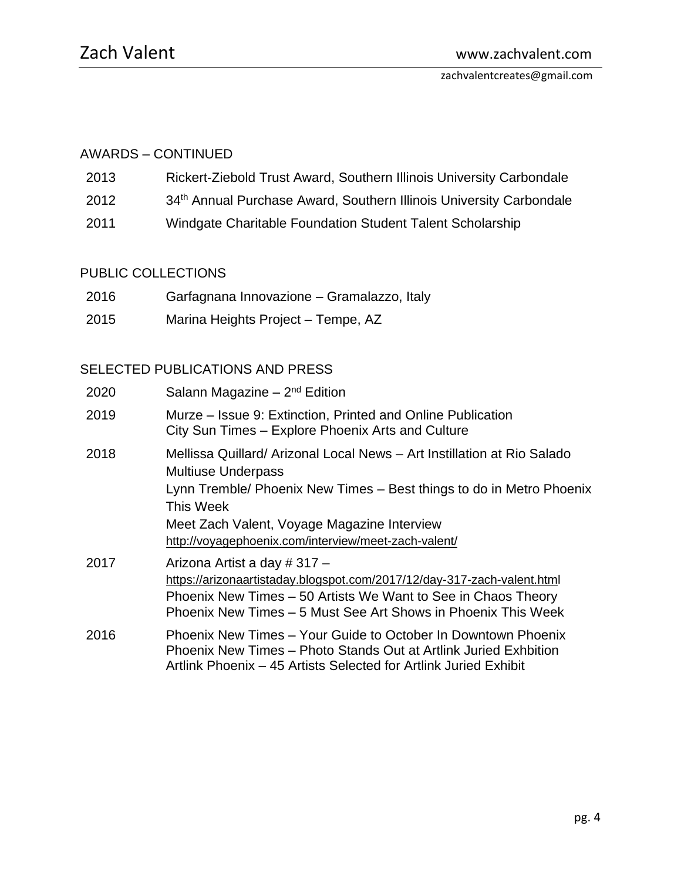## AWARDS – CONTINUED

- 2013 Rickert-Ziebold Trust Award, Southern Illinois University Carbondale
- 2012 34<sup>th</sup> Annual Purchase Award, Southern Illinois University Carbondale
- 2011 Windgate Charitable Foundation Student Talent Scholarship

## PUBLIC COLLECTIONS

- 2016 Garfagnana Innovazione Gramalazzo, Italy
- 2015 Marina Heights Project Tempe, AZ

## SELECTED PUBLICATIONS AND PRESS

| 2020 | Salann Magazine $-2nd$ Edition                                                                                                                                                                                                                                                                   |
|------|--------------------------------------------------------------------------------------------------------------------------------------------------------------------------------------------------------------------------------------------------------------------------------------------------|
| 2019 | Murze – Issue 9: Extinction, Printed and Online Publication<br>City Sun Times - Explore Phoenix Arts and Culture                                                                                                                                                                                 |
| 2018 | Mellissa Quillard/ Arizonal Local News - Art Instillation at Rio Salado<br><b>Multiuse Underpass</b><br>Lynn Tremble/ Phoenix New Times - Best things to do in Metro Phoenix<br>This Week<br>Meet Zach Valent, Voyage Magazine Interview<br>http://voyagephoenix.com/interview/meet-zach-valent/ |
| 2017 | Arizona Artist a day #317 -<br>https://arizonaartistaday.blogspot.com/2017/12/day-317-zach-valent.html<br>Phoenix New Times – 50 Artists We Want to See in Chaos Theory<br>Phoenix New Times – 5 Must See Art Shows in Phoenix This Week                                                         |
| 2016 | Phoenix New Times - Your Guide to October In Downtown Phoenix<br>Phoenix New Times - Photo Stands Out at Artlink Juried Exhbition<br>Artlink Phoenix – 45 Artists Selected for Artlink Juried Exhibit                                                                                            |